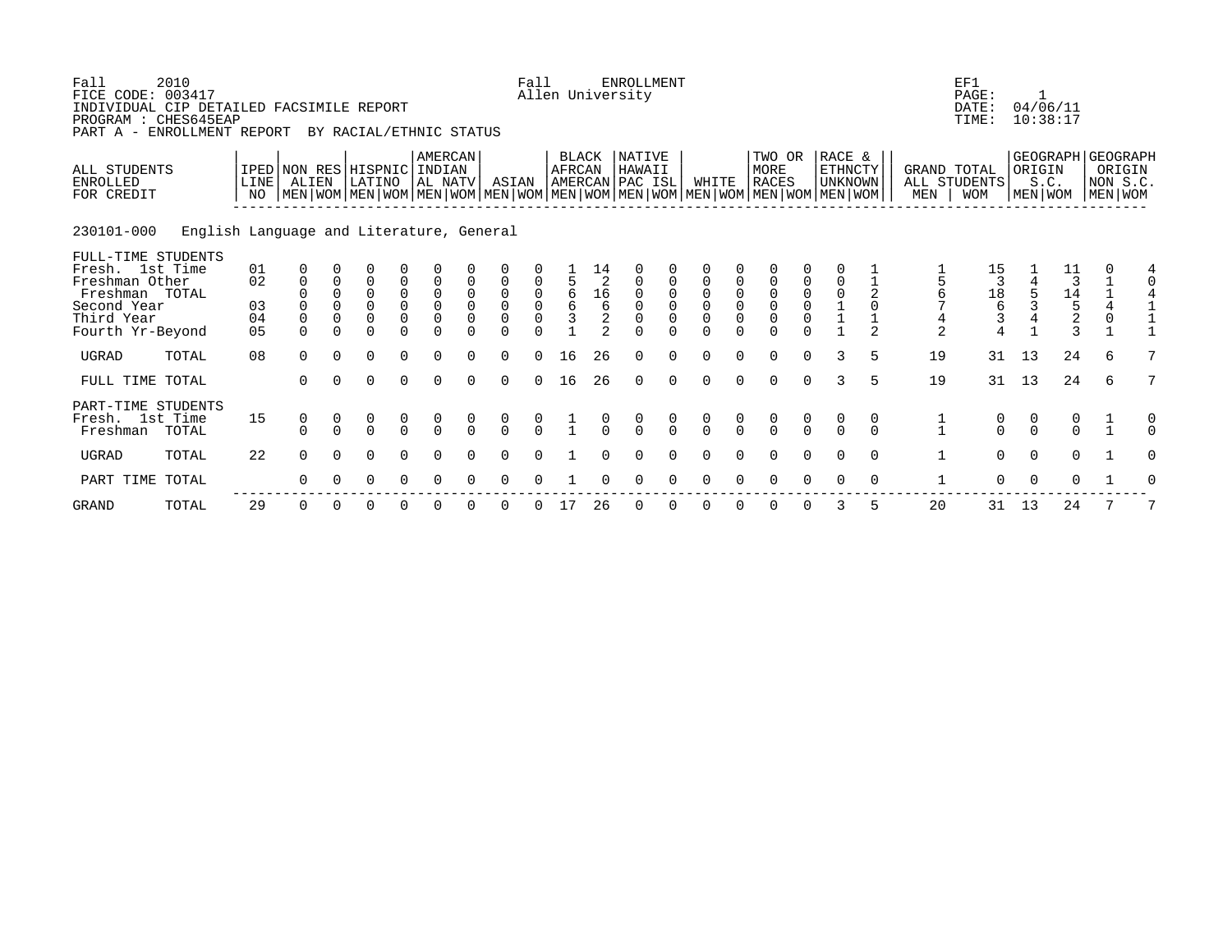| Fall<br>FICE CODE: 003417<br>INDIVIDUAL CIP DETAILED FACSIMILE REPORT<br>PROGRAM : CHES645EAP<br>PART A - ENROLLMENT REPORT | 2010                                     |                                        |                                                         |                                     | BY RACIAL/ETHNIC STATUS                                       |                               |                                               |                            |                                                        | Fall                |                                  |                                                                           | <b>ENROLLMENT</b><br>Allen University |          |                                              |                               |                                                                                                                                               |                                                                  |                                                          |                    |                                                  | EF1<br>PAGE:<br>DATE:<br>TIME:                                       |               | 04/06/11<br>10:38:17                                     |   |                                   |
|-----------------------------------------------------------------------------------------------------------------------------|------------------------------------------|----------------------------------------|---------------------------------------------------------|-------------------------------------|---------------------------------------------------------------|-------------------------------|-----------------------------------------------|----------------------------|--------------------------------------------------------|---------------------|----------------------------------|---------------------------------------------------------------------------|---------------------------------------|----------|----------------------------------------------|-------------------------------|-----------------------------------------------------------------------------------------------------------------------------------------------|------------------------------------------------------------------|----------------------------------------------------------|--------------------|--------------------------------------------------|----------------------------------------------------------------------|---------------|----------------------------------------------------------|---|-----------------------------------|
| ALL STUDENTS<br><b>ENROLLED</b><br>FOR CREDIT                                                                               |                                          | LINE<br>NO.                            | IPED NON RES HISPNIC INDIAN<br>ALIEN                    |                                     | LATINO                                                        |                               | <b>AMERCAN</b><br>AL NATV                     |                            | ASIAN                                                  |                     | BLACK<br>AFRCAN                  |                                                                           | NATIVE<br>HAWAII<br>AMERCAN PAC ISL   |          | WHITE                                        |                               | TWO OR<br>MORE<br><b>RACES</b><br>  MEN   WOM   MEN   WOM   MEN   WOM   MEN   WOM   MEN   WOM   MEN   WOM   MEN   WOM   MEN   WOM   MEN   WOM |                                                                  | RACE &<br>ETHNCTY<br><b>UNKNOWN</b>                      |                    | <b>GRAND TOTAL</b><br>MEN                        | ALL STUDENTS<br><b>WOM</b>                                           | ORIGIN        | GEOGRAPH GEOGRAPH<br>S.C.<br>MEN   WOM                   |   | ORIGIN<br>NON S.C.<br>  MEN   WOM |
| 230101-000                                                                                                                  | English Language and Literature, General |                                        |                                                         |                                     |                                                               |                               |                                               |                            |                                                        |                     |                                  |                                                                           |                                       |          |                                              |                               |                                                                                                                                               |                                                                  |                                                          |                    |                                                  |                                                                      |               |                                                          |   |                                   |
| FULL-TIME STUDENTS<br>Fresh. 1st Time<br>Freshman Other<br>Freshman TOTAL<br>Second Year<br>Third Year<br>Fourth Yr-Beyond  |                                          | 01<br>02<br>03<br>04<br>0 <sub>5</sub> | $\mathbf 0$<br>$\mathbf 0$<br>$\Omega$<br>0<br>$\Omega$ | $\mathbf 0$<br>$\Omega$<br>$\Omega$ | O<br>$\overline{0}$<br>$\Omega$<br>0<br>$\mathbf 0$<br>$\cap$ | 0<br>0<br>$\mathsf{O}\xspace$ | $\mathsf 0$<br>$\overline{0}$<br>$\mathsf{O}$ | $\mathbf 0$<br>$\mathbf 0$ | 0<br>$\mathsf 0$<br>$\mathsf{O}\xspace$<br>$\mathbf 0$ | $\overline{0}$<br>0 | $\frac{5}{6}$<br>$\epsilon$<br>3 | 14<br>$\overline{2}$<br>$\frac{1}{6}$<br>$\overline{a}$<br>$\mathfrak{D}$ | 0<br>$\mathbf 0$<br>$\Omega$          | 0        | $\mathbf 0$<br>$\overline{0}$<br>$\mathbf 0$ | $\mathsf 0$<br>$\overline{0}$ | 0<br>$\overline{0}$<br>$\overline{0}$                                                                                                         | $\begin{matrix} 0 \\ 0 \\ 0 \end{matrix}$<br>$\mathsf{O}\xspace$ | $\mathbf 0$<br>$\begin{matrix} 0 \\ 1 \\ 1 \end{matrix}$ | 2<br>$\Omega$<br>2 | $\frac{5}{6}$<br>$\overline{7}$<br>$\frac{4}{2}$ | 15<br>3<br>$\begin{array}{c}\n18 \\ 6\n\end{array}$<br>$\frac{3}{4}$ |               | 11<br>$1\frac{3}{4}$<br>$1\frac{4}{5}$<br>$2\frac{2}{3}$ |   | 4                                 |
| UGRAD                                                                                                                       | TOTAL                                    | 08                                     | $\Omega$                                                | $\Omega$                            | $\mathbf 0$                                                   | $\mathbf 0$                   | $\Omega$                                      | $\Omega$                   | 0                                                      | $\Omega$            | 16                               | 26                                                                        | $\mathbf 0$                           | $\Omega$ | $\Omega$                                     | $\Omega$                      | $\mathbf 0$                                                                                                                                   | $\mathbf 0$                                                      | 3                                                        | 5                  | 19                                               | 31                                                                   | 13            | 24                                                       | 6 |                                   |
| FULL TIME TOTAL                                                                                                             |                                          |                                        | $\Omega$                                                | $\Omega$                            | $\Omega$                                                      | $\Omega$                      | $\Omega$                                      | $\Omega$                   | $\Omega$                                               | $\Omega$            | 16                               | 26                                                                        | $\Omega$                              | $\Omega$ | $\Omega$                                     | $\Omega$                      | $\Omega$                                                                                                                                      | $\Omega$                                                         | $\mathcal{L}$                                            | 5                  | 19                                               | 31                                                                   | 13            | 24                                                       | 6 | 7                                 |
| PART-TIME STUDENTS<br>Fresh. 1st Time<br>Freshman                                                                           | TOTAL                                    | 15                                     | 0<br>$\Omega$                                           | 0<br>$\Omega$                       | $\begin{matrix}0\\0\end{matrix}$                              | 0<br>$\Omega$                 | $\frac{0}{0}$                                 |                            | $\frac{0}{0}$                                          | $\cap$              |                                  | $\cap$                                                                    | $\cap$                                | $\Omega$ | $\frac{0}{0}$                                |                               | $\begin{matrix} 0 \\ 0 \end{matrix}$                                                                                                          | $\begin{matrix} 0 \\ 0 \end{matrix}$                             | $\Omega$                                                 | 0<br>$\Omega$      | 1<br>$\mathbf{1}$                                | 0<br>$\Omega$                                                        | 0<br>$\Omega$ | $\begin{matrix}0\\0\end{matrix}$                         |   |                                   |
| <b>UGRAD</b>                                                                                                                | TOTAL                                    | 22                                     | $\Omega$                                                | $\Omega$                            | $\Omega$                                                      | $\Omega$                      | ∩                                             |                            | $\Omega$                                               |                     |                                  |                                                                           |                                       |          |                                              |                               | $\Omega$                                                                                                                                      | $\Omega$                                                         | $\Omega$                                                 | $\Omega$           | $\mathbf{1}$                                     | $\Omega$                                                             | $\Omega$      | $\Omega$                                                 |   |                                   |
| PART TIME TOTAL                                                                                                             |                                          |                                        | 0                                                       | 0                                   | 0                                                             | $\Omega$                      | $\Omega$                                      |                            | $\Omega$                                               |                     |                                  |                                                                           |                                       |          |                                              |                               | $\Omega$                                                                                                                                      | $\Omega$                                                         | $\Omega$                                                 | 0                  | 1                                                | $\mathbf 0$                                                          | $\mathbf 0$   | 0                                                        |   |                                   |
| <b>GRAND</b>                                                                                                                | TOTAL                                    | 29                                     | 0                                                       |                                     | 0                                                             |                               |                                               |                            |                                                        |                     |                                  | 26                                                                        |                                       |          |                                              |                               | $\Omega$                                                                                                                                      | $\Omega$                                                         | 3                                                        |                    | 20                                               | 31                                                                   | 13            | 24                                                       |   |                                   |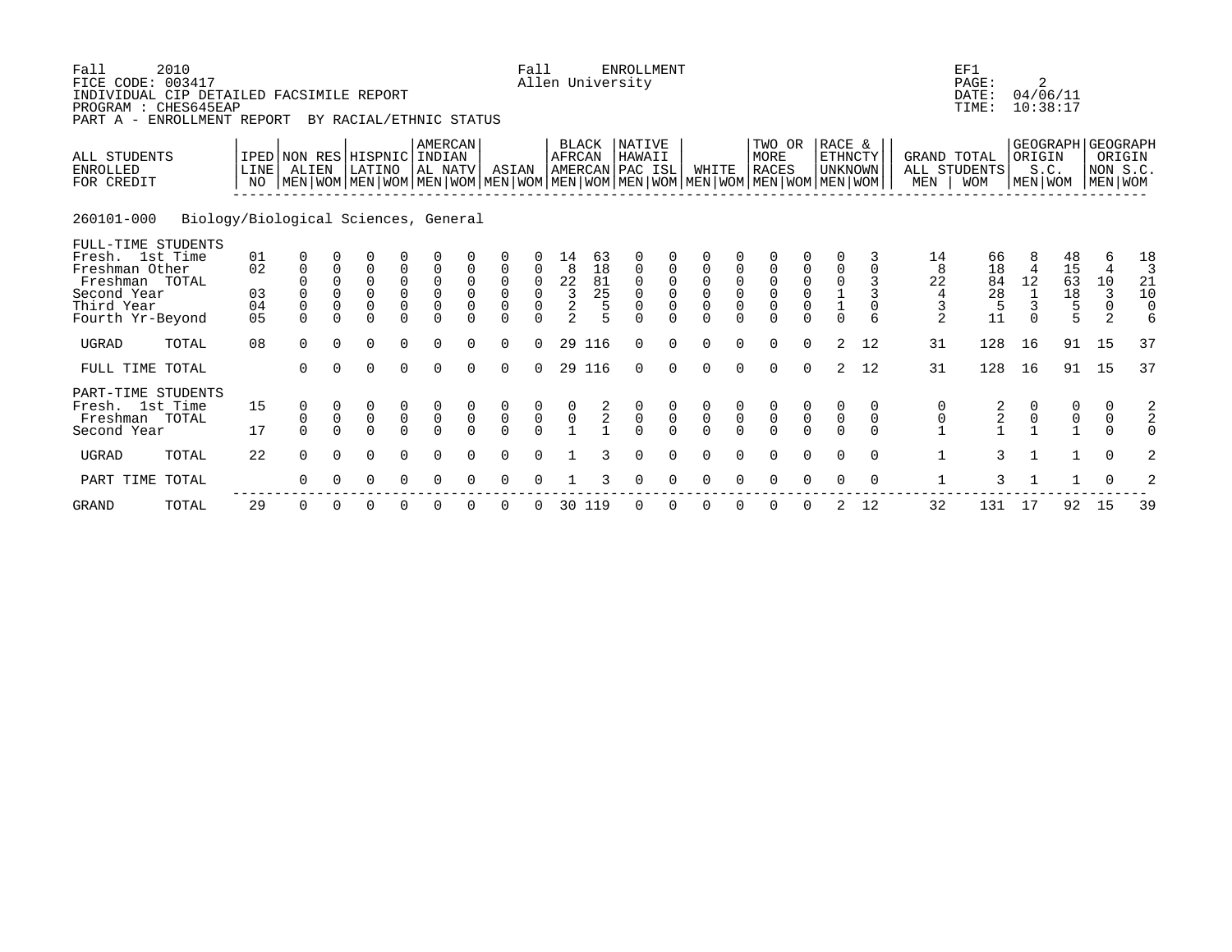| Fall<br>FICE CODE: 003417<br>INDIVIDUAL CIP DETAILED FACSIMILE REPORT<br>PROGRAM : CHES645EAP<br>PART A - ENROLLMENT REPORT | 2010                                 |                            |                                                  |                                        |                                        |                                                  | BY RACIAL/ETHNIC STATUS                   |                                                          |                                                                    | Fall                                      |                                                                                     |                                            | <b>ENROLLMENT</b><br>Allen University            |                                           |                                                            |                                     |                                                                                                                                               |                                                     |                                        |                            |                                      | EF1<br>PAGE:<br>DATE:<br>TIME:  | 2                                                          | 04/06/11<br>10:38:17                       |                                                        |                                            |
|-----------------------------------------------------------------------------------------------------------------------------|--------------------------------------|----------------------------|--------------------------------------------------|----------------------------------------|----------------------------------------|--------------------------------------------------|-------------------------------------------|----------------------------------------------------------|--------------------------------------------------------------------|-------------------------------------------|-------------------------------------------------------------------------------------|--------------------------------------------|--------------------------------------------------|-------------------------------------------|------------------------------------------------------------|-------------------------------------|-----------------------------------------------------------------------------------------------------------------------------------------------|-----------------------------------------------------|----------------------------------------|----------------------------|--------------------------------------|---------------------------------|------------------------------------------------------------|--------------------------------------------|--------------------------------------------------------|--------------------------------------------|
| ALL STUDENTS<br><b>ENROLLED</b><br>FOR CREDIT                                                                               |                                      | LINE<br>NO.                | IPED NON RES HISPNIC<br>ALIEN                    |                                        | LATINO                                 |                                                  | AMERCAN<br>INDIAN<br>AL NATV              |                                                          | ASIAN                                                              |                                           | AFRCAN                                                                              | <b>BLACK</b>                               | NATIVE<br>HAWAII<br>AMERCAN PAC ISL              |                                           | WHITE                                                      |                                     | TWO OR<br>MORE<br><b>RACES</b><br>  MEN   WOM   MEN   WOM   MEN   WOM   MEN   WOM   MEN   WOM   MEN   WOM   MEN   WOM   MEN   WOM   MEN   WOM |                                                     | RACE &<br><b>ETHNCTY</b><br>UNKNOWN    |                            | GRAND TOTAL<br>MEN                   | ALL STUDENTS<br><b>WOM</b>      | ORIGIN<br>MEN WOM                                          | S.C.                                       | GEOGRAPH   GEOGRAPH<br>ORIGIN<br>NON S.C.<br>MEN   WOM |                                            |
| 260101-000                                                                                                                  | Biology/Biological Sciences, General |                            |                                                  |                                        |                                        |                                                  |                                           |                                                          |                                                                    |                                           |                                                                                     |                                            |                                                  |                                           |                                                            |                                     |                                                                                                                                               |                                                     |                                        |                            |                                      |                                 |                                                            |                                            |                                                        |                                            |
| FULL-TIME STUDENTS<br>Fresh. 1st Time<br>Freshman Other<br>Freshman TOTAL<br>Second Year<br>Third Year<br>Fourth Yr-Beyond  |                                      | 01<br>02<br>03<br>04<br>05 | 0<br>$\mathbf 0$<br>0<br>$\mathbf 0$<br>$\Omega$ | 0<br>0<br>0<br>$\mathbf 0$<br>$\Omega$ | 0<br>0<br>0<br>$\mathbf 0$<br>$\Omega$ | 0<br>0<br>0<br>0<br>$\Omega$                     | 0<br>0<br>$\mathsf{O}$<br>0<br>$\Omega$   | $\overline{0}$<br>$\mathbf 0$<br>$\mathbf 0$<br>$\Omega$ | 0<br>$\mathsf 0$<br>$\mathsf{O}\xspace$<br>$\mathbf 0$<br>$\Omega$ | 0<br>$\mathsf 0$<br>0<br>$\Omega$         | 14<br>8<br>$\begin{array}{c} 2\overline{2} \\ 3 \\ 2 \end{array}$<br>$\overline{a}$ | 63<br>18<br>81<br>25<br>5                  | $\mathbf 0$<br>0<br>0<br>$\mathbf 0$<br>$\Omega$ | 0<br>0<br>$\mathsf{O}$<br>0<br>$\Omega$   | 0<br>$\mathbf 0$<br>$\mathsf 0$<br>$\mathbf 0$<br>$\Omega$ | $\mathbf 0$<br>0<br>$\mathbf 0$     | $\mathsf 0$<br>$\mathsf{O}\xspace$<br>$\mathbf 0$<br>$\Omega$                                                                                 | 0<br>$\mathsf 0$<br>$\mathsf{O}\xspace$<br>$\Omega$ | $\mathbf 0$<br>$\mathsf 0$<br>$\Omega$ | 3<br>3<br>$\mathbf 0$<br>6 | 14<br>22<br>$\overline{4}$<br>3<br>2 | 66<br>18<br>84<br>28<br>5<br>11 | 8<br>$\overline{4}$<br>12<br>$\mathbf{1}$<br>3<br>$\Omega$ | 48<br>15<br>63<br>18<br>5                  | 6<br>$\overline{4}$<br>10<br>3<br>$\mathbf 0$<br>2     | 18<br>3<br>21<br>10<br>$\overline{0}$<br>6 |
| <b>UGRAD</b>                                                                                                                | TOTAL                                | 08                         | $\Omega$                                         | $\Omega$                               | $\Omega$                               | $\Omega$                                         | $\Omega$                                  | $\Omega$                                                 | $\Omega$                                                           | $\Omega$                                  | 29                                                                                  | 116                                        | $\Omega$                                         | $\Omega$                                  | $\Omega$                                                   |                                     | $\Omega$                                                                                                                                      | $\Omega$                                            | 2                                      | 12                         | 31                                   | 128                             | 16                                                         | 91                                         | 15                                                     | 37                                         |
| FULL TIME TOTAL                                                                                                             |                                      |                            | $\Omega$                                         |                                        | $\Omega$                               | $\Omega$                                         | $\Omega$                                  | $\Omega$                                                 | $\Omega$                                                           | $\Omega$                                  | 29                                                                                  | 116                                        | $\Omega$                                         | $\Omega$                                  | $\Omega$                                                   | $\Omega$                            | $\Omega$                                                                                                                                      | $\Omega$                                            | 2                                      | 12                         | 31                                   | 128                             | 16                                                         | 91                                         | 15                                                     | 37                                         |
| PART-TIME STUDENTS<br>Fresh. 1st Time<br>Freshman TOTAL<br>Second Year                                                      |                                      | 15<br>17                   | 0<br>$\mathbf 0$<br>$\cap$                       | $\mathbf 0$<br>$\Omega$                | 0<br>$\overline{0}$<br>$\Omega$        | $\begin{matrix} 0 \\ 0 \end{matrix}$<br>$\Omega$ | $\begin{matrix} 0 \\ 0 \\ 0 \end{matrix}$ | $\mathsf{O}\xspace$<br>$\Omega$                          | $\begin{matrix} 0 \\ 0 \\ 0 \end{matrix}$                          | $\begin{matrix} 0 \\ 0 \\ 0 \end{matrix}$ | $\begin{matrix} 0 \\ 0 \\ 1 \end{matrix}$                                           | $\begin{array}{c} 2 \\ 2 \\ 1 \end{array}$ | $\begin{matrix} 0 \\ 0 \\ 0 \end{matrix}$        | $\begin{matrix} 0 \\ 0 \\ 0 \end{matrix}$ | $\begin{matrix} 0 \\ 0 \\ 0 \end{matrix}$                  | $\begin{matrix}0\\0\\0\end{matrix}$ | $\begin{matrix} 0 \\ 0 \\ 0 \end{matrix}$                                                                                                     | $\overline{0}$                                      | $\mathsf{O}$<br>$\cap$                 | 0<br>$\mathbf 0$<br>$\cap$ | 0                                    | $\frac{2}{1}$                   | $\begin{smallmatrix}0\\1\end{smallmatrix}$                 | $\begin{smallmatrix}0\\1\end{smallmatrix}$ | 0<br>$\boldsymbol{0}$                                  | $\frac{2}{2}$<br>$\Omega$                  |
| <b>UGRAD</b>                                                                                                                | TOTAL                                | 22                         | $\Omega$                                         | $\Omega$                               | $\Omega$                               | $\Omega$                                         | $\Omega$                                  | $\Omega$                                                 | 0                                                                  | $\Omega$                                  |                                                                                     | 3                                          | 0                                                | $\mathbf 0$                               | $\Omega$                                                   | $\cap$                              | $\Omega$                                                                                                                                      | $\Omega$                                            | $\Omega$                               | $\Omega$                   |                                      | 3                               |                                                            | $\mathbf{1}$                               | $\Omega$                                               | 2                                          |
| PART TIME                                                                                                                   | TOTAL                                |                            | $\Omega$                                         |                                        | $\Omega$                               |                                                  | $\Omega$                                  |                                                          | $\Omega$                                                           |                                           |                                                                                     |                                            | $\Omega$                                         | ∩                                         | $\cap$                                                     |                                     | $\Omega$                                                                                                                                      |                                                     |                                        | $\Omega$                   |                                      | 3                               |                                                            |                                            | $\Omega$                                               | 2                                          |
| <b>GRAND</b>                                                                                                                | TOTAL                                | 29                         | $\Omega$                                         | $\Omega$                               | 0                                      | O                                                | 0                                         | ∩                                                        | 0                                                                  | 0                                         |                                                                                     | 30 119                                     | 0                                                | O                                         | $\Omega$                                                   |                                     | $\Omega$                                                                                                                                      |                                                     | 2                                      | 12                         | 32                                   | 131                             | 17                                                         | 92                                         | 15                                                     | 39                                         |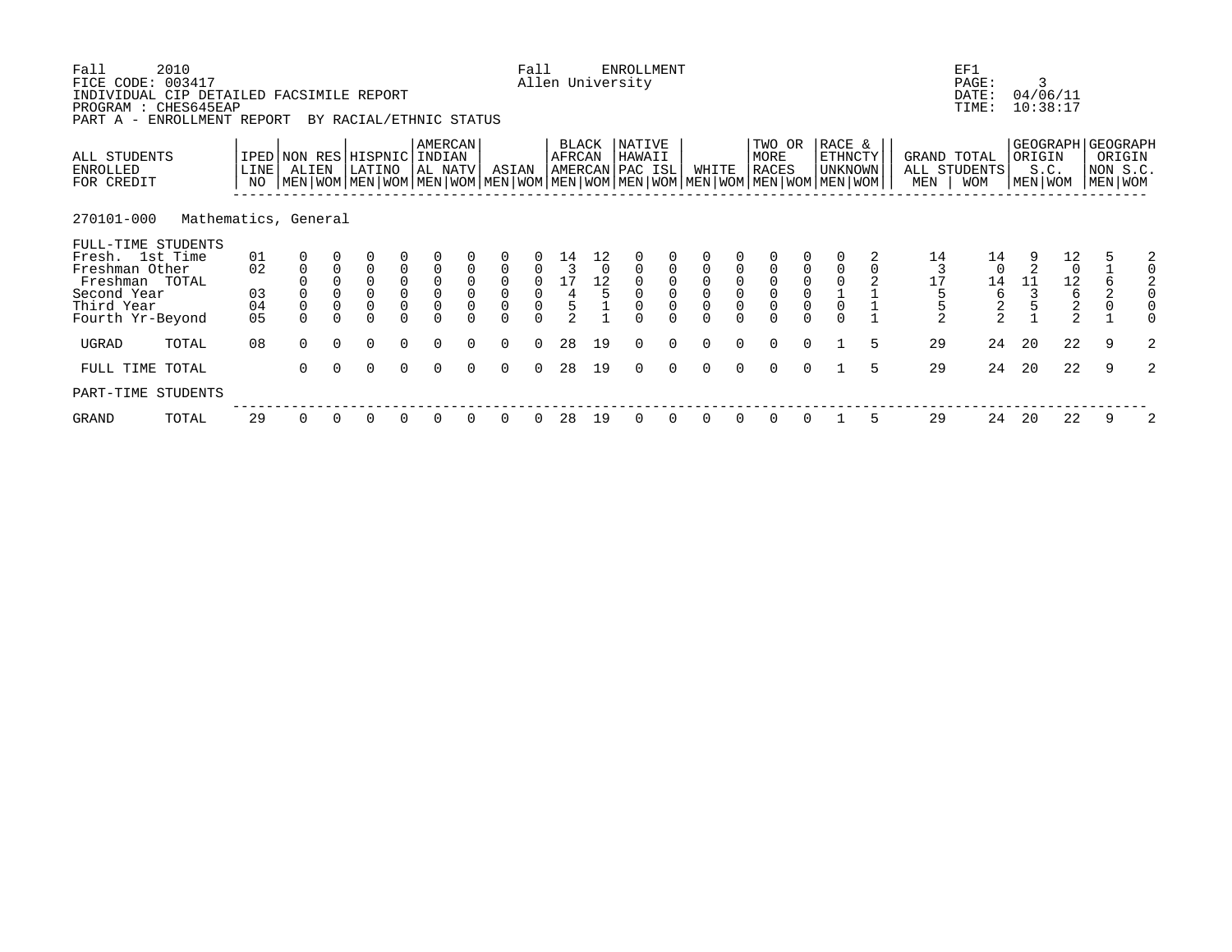| Fall<br>FICE CODE: 003417<br>INDIVIDUAL CIP DETAILED FACSIMILE REPORT<br>PROGRAM : CHES645EAP<br>PART A - ENROLLMENT REPORT | 2010                 |               |                                      |                     | BY RACIAL/ETHNIC STATUS               |                                                |                                           |                     |                                           | Fall                                        |                                              |                      | ENROLLMENT<br>Allen University      |                                           |             |                     |                                                                                                                                               |          |                              |   |                    | EF1<br>PAGE:<br>DATE:<br>TIME: | 3                 | 04/06/11<br>10:38:17                                    |                                                    |   |
|-----------------------------------------------------------------------------------------------------------------------------|----------------------|---------------|--------------------------------------|---------------------|---------------------------------------|------------------------------------------------|-------------------------------------------|---------------------|-------------------------------------------|---------------------------------------------|----------------------------------------------|----------------------|-------------------------------------|-------------------------------------------|-------------|---------------------|-----------------------------------------------------------------------------------------------------------------------------------------------|----------|------------------------------|---|--------------------|--------------------------------|-------------------|---------------------------------------------------------|----------------------------------------------------|---|
| ALL STUDENTS<br>ENROLLED<br>FOR CREDIT                                                                                      |                      | LINE  <br>NO. | ALIEN                                |                     | IPED NON RES HISPNIC INDIAN<br>LATINO |                                                | AMERCAN<br>AL NATV                        |                     | ASIAN                                     |                                             | BLACK<br>AFRCAN                              |                      | NATIVE<br>HAWAII<br>AMERCAN PAC ISL |                                           | WHITE       |                     | TWO OR<br>MORE<br><b>RACES</b><br>  MEN   WOM   MEN   WOM   MEN   WOM   MEN   WOM   MEN   WOM   MEN   WOM   MEN   WOM   MEN   WOM   MEN   WOM |          | RACE &<br>ETHNCTY<br>UNKNOWN |   | GRAND TOTAL<br>MEN | ALL STUDENTS<br><b>WOM</b>     | ORIGIN<br>MEN WOM | S.C.                                                    | GEOGRAPH GEOGRAPH<br>ORIGIN<br>NON S.C.<br>MEN WOM |   |
| 270101-000                                                                                                                  | Mathematics, General |               |                                      |                     |                                       |                                                |                                           |                     |                                           |                                             |                                              |                      |                                     |                                           |             |                     |                                                                                                                                               |          |                              |   |                    |                                |                   |                                                         |                                                    |   |
| FULL-TIME STUDENTS<br>Fresh. 1st Time                                                                                       |                      | 01            |                                      |                     |                                       |                                                |                                           |                     |                                           |                                             |                                              |                      |                                     |                                           |             |                     |                                                                                                                                               |          |                              |   | 14                 | 14                             |                   | $\begin{smallmatrix}1&2\0&$                             |                                                    | 2 |
| Freshman Other                                                                                                              |                      | 02            | $\begin{matrix} 0 \\ 0 \end{matrix}$ | $\ddot{\mathbf{0}}$ | $\overline{0}$                        | $\begin{matrix} 0 \\ 0 \\ 0 \\ 0 \end{matrix}$ | $\begin{matrix} 0 \\ 0 \\ 0 \end{matrix}$ | $\mathsf{O}\xspace$ | $\begin{matrix} 0 \\ 0 \end{matrix}$      | $\overline{0}$<br>$\mathsf{O}\xspace$       | $\begin{array}{c} 14 \\ 3 \end{array}$<br>17 | $\overline{0}$<br>12 | $\mathsf{O}\xspace$<br>$\mathsf 0$  |                                           |             | $\mathsf{O}\xspace$ |                                                                                                                                               |          |                              |   | 17                 | $\mathbf 0$                    | 11                |                                                         | 6                                                  |   |
| Freshman TOTAL<br>Second Year                                                                                               |                      | 03            |                                      | $\mathsf{O}$        | $\overline{0}$                        |                                                |                                           | $\mathsf{O}$        |                                           |                                             |                                              |                      | $\mathsf{O}\xspace$                 | $\begin{matrix} 0 \\ 0 \\ 0 \end{matrix}$ | $\mathbf 0$ | $\mathbf{0}$        |                                                                                                                                               |          |                              |   |                    | 14<br>6                        |                   | $\begin{array}{c}\n 12 \\  6 \\  2 \\  2\n \end{array}$ |                                                    |   |
| Third Year                                                                                                                  |                      | 04            | $\overline{0}$                       | $\mathsf 0$         | $\overline{0}$                        |                                                | $\overline{0}$<br>0                       | $\mathsf 0$         | $\begin{matrix} 0 \\ 0 \\ 0 \end{matrix}$ | $\begin{bmatrix} 0 \\ 0 \\ 0 \end{bmatrix}$ | $\begin{array}{c} 4 \\ 5 \\ 2 \end{array}$   |                      |                                     | $\overline{0}$                            |             | $\mathsf 0$         | $\overline{0}$<br>0                                                                                                                           |          |                              |   |                    | $\frac{2}{2}$                  |                   |                                                         | $\frac{2}{0}$                                      |   |
| Fourth Yr-Beyond                                                                                                            |                      | 05            | $\Omega$                             |                     | $\Omega$                              | $\Omega$                                       |                                           |                     |                                           |                                             |                                              |                      |                                     | $\cap$                                    |             |                     | $\cap$                                                                                                                                        |          |                              |   |                    |                                |                   |                                                         |                                                    |   |
| UGRAD                                                                                                                       | TOTAL                | 08            | $\Omega$                             | $\Omega$            | $\Omega$                              | $\Omega$                                       | $\Omega$                                  | $\Omega$            | $\Omega$                                  | $\Omega$                                    | 28                                           | 19                   | $\Omega$                            | $\Omega$                                  | $\Omega$    | $\Omega$            | $\Omega$                                                                                                                                      | $\Omega$ |                              |   | 29                 | 24                             | 20                | 22                                                      | 9                                                  | 2 |
| FULL TIME TOTAL                                                                                                             |                      |               | $\Omega$                             | $\Omega$            | $\Omega$                              | $\Omega$                                       | $\Omega$                                  | $\Omega$            | $\Omega$                                  | $\Omega$                                    | 28                                           | 19                   | $\Omega$                            | $\Omega$                                  | $\Omega$    | $\Omega$            | $\Omega$                                                                                                                                      | $\Omega$ |                              | 5 | 29                 | 24                             | 20                | 22                                                      | 9                                                  | 2 |
| PART-TIME STUDENTS                                                                                                          |                      |               |                                      |                     |                                       |                                                |                                           |                     |                                           |                                             |                                              |                      |                                     |                                           |             |                     |                                                                                                                                               |          |                              |   |                    |                                |                   |                                                         |                                                    |   |
| GRAND                                                                                                                       | TOTAL                | 29            | $\Omega$                             |                     | 0                                     | 0                                              | 0                                         |                     | 0                                         |                                             | 28                                           | 19                   | 0                                   |                                           |             |                     |                                                                                                                                               |          |                              | 5 | 29                 | 24                             | 20                | 22                                                      | 9                                                  | 2 |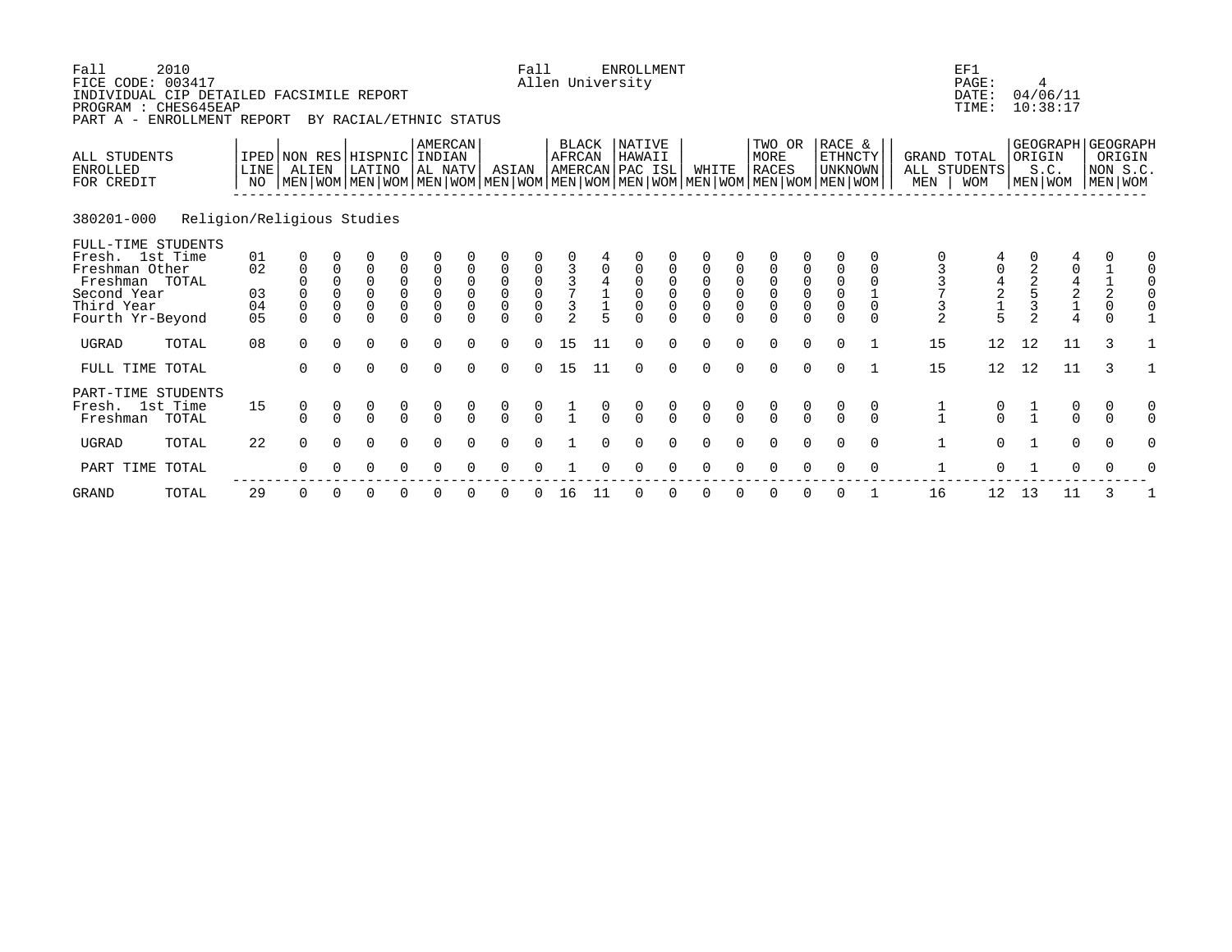| Fall<br>FICE CODE: 003417<br>INDIVIDUAL CIP DETAILED FACSIMILE REPORT<br>PROGRAM : CHES645EAP<br>PART A - ENROLLMENT REPORT | 2010                       |                                        |                                                   |                                          | BY RACIAL/ETHNIC STATUS                           |                                                                  |                                           |                                           |                                         | Fall                                      |                                                   |    | <b>ENROLLMENT</b><br>Allen University          |               |                                           |                              |                                                                                                                                               |                                           |                                                                            |                           |                          | EF1<br>PAGE:<br>DATE:<br>TIME:       |                | 4<br>04/06/11<br>10:38:17                                      |                                                                   |                                                        |
|-----------------------------------------------------------------------------------------------------------------------------|----------------------------|----------------------------------------|---------------------------------------------------|------------------------------------------|---------------------------------------------------|------------------------------------------------------------------|-------------------------------------------|-------------------------------------------|-----------------------------------------|-------------------------------------------|---------------------------------------------------|----|------------------------------------------------|---------------|-------------------------------------------|------------------------------|-----------------------------------------------------------------------------------------------------------------------------------------------|-------------------------------------------|----------------------------------------------------------------------------|---------------------------|--------------------------|--------------------------------------|----------------|----------------------------------------------------------------|-------------------------------------------------------------------|--------------------------------------------------------|
| ALL STUDENTS<br><b>ENROLLED</b><br>FOR CREDIT                                                                               |                            | LINE<br>NO.                            | IPED NON RES HISPNIC INDIAN<br>ALIEN              |                                          | LATINO                                            |                                                                  | <b>AMERCAN</b><br>AL NATV                 |                                           | ASIAN                                   |                                           | BLACK<br>AFRCAN                                   |    | NATIVE<br>HAWAII<br>AMERCAN PAC ISL            |               | WHITE                                     |                              | TWO OR<br>MORE<br><b>RACES</b><br>  MEN   WOM   MEN   WOM   MEN   WOM   MEN   WOM   MEN   WOM   MEN   WOM   MEN   WOM   MEN   WOM   MEN   WOM |                                           | RACE &<br>ETHNCTY<br><b>UNKNOWN</b>                                        |                           | GRAND TOTAL<br>MEN       | ALL STUDENTS<br><b>WOM</b>           | ORIGIN         | S.C.<br>MEN   WOM                                              |                                                                   | GEOGRAPH GEOGRAPH<br>ORIGIN<br>NON S.C.<br>  MEN   WOM |
| 380201-000                                                                                                                  | Religion/Religious Studies |                                        |                                                   |                                          |                                                   |                                                                  |                                           |                                           |                                         |                                           |                                                   |    |                                                |               |                                           |                              |                                                                                                                                               |                                           |                                                                            |                           |                          |                                      |                |                                                                |                                                                   |                                                        |
| FULL-TIME STUDENTS<br>Fresh. 1st Time<br>Freshman Other<br>Freshman TOTAL<br>Second Year<br>Third Year<br>Fourth Yr-Beyond  |                            | 01<br>02<br>03<br>04<br>0 <sub>5</sub> | 0<br>$\mathbf{0}$<br>0<br>$\mathbf 0$<br>$\Omega$ | $\Omega$<br>$\Omega$<br>0<br>$\mathbf 0$ | $\Omega$<br>$\Omega$<br>0<br>$\Omega$<br>$\Omega$ | 0<br>$\mathsf{O}\xspace$<br>$\begin{matrix} 0 \\ 0 \end{matrix}$ | $\begin{matrix} 0 \\ 0 \\ 0 \end{matrix}$ | $\mathsf 0$<br>$\mathsf 0$<br>$\mathbf 0$ | 0<br>$\mathsf 0$<br>$\overline{0}$<br>0 | $\begin{matrix} 0 \\ 0 \\ 0 \end{matrix}$ | $\frac{3}{7}$<br>$\overline{3}$<br>$\overline{2}$ |    | $\Omega$<br>0<br>$\mathbf 0$<br>$\overline{0}$ | 0             | $\begin{matrix} 0 \\ 0 \\ 0 \end{matrix}$ | 0<br>$\mathbf 0$<br>$\Omega$ | 0<br>$\begin{matrix} 0 \\ 0 \\ 0 \end{matrix}$<br>$\Omega$                                                                                    | $\begin{matrix} 0 \\ 0 \\ 0 \end{matrix}$ | 0<br>$\begin{smallmatrix}0\\0\end{smallmatrix}$<br>$\mathsf 0$<br>$\Omega$ | $\Omega$<br>0<br>$\Omega$ | 3<br>3<br>$\overline{2}$ | $\frac{4}{2}$<br>$\frac{1}{5}$       | $\overline{2}$ | $\mathbf 0$<br>$\begin{array}{c} 4 \\ 2 \\ 1 \\ 4 \end{array}$ | $\begin{array}{c} 1 \\ 1 \\ 2 \\ 0 \end{array}$<br>$\overline{0}$ |                                                        |
| <b>UGRAD</b>                                                                                                                | TOTAL                      | 08                                     | $\Omega$                                          | $\Omega$                                 | $\mathbf 0$                                       | $\Omega$                                                         | $\Omega$                                  | $\Omega$                                  | $\Omega$                                | $\Omega$                                  | 15                                                | 11 | $\Omega$                                       | $\Omega$      | $\Omega$                                  | $\Omega$                     | $\mathbf 0$                                                                                                                                   | $\mathbf 0$                               | $\Omega$                                                                   |                           | 15                       | 12                                   | 12             | 11                                                             | 3                                                                 |                                                        |
| FULL TIME TOTAL                                                                                                             |                            |                                        | $\Omega$                                          | $\Omega$                                 | $\Omega$                                          | $\Omega$                                                         | $\Omega$                                  | $\Omega$                                  | $\Omega$                                | $\Omega$                                  | 15                                                | 11 | $\Omega$                                       | $\Omega$      | $\Omega$                                  | $\Omega$                     | $\Omega$                                                                                                                                      | $\Omega$                                  | $\Omega$                                                                   |                           | 15                       | 12                                   | 12             | 11                                                             | $\mathcal{L}$                                                     |                                                        |
| PART-TIME STUDENTS<br>Fresh. 1st Time<br>Freshman                                                                           | TOTAL                      | 15                                     | 0<br>$\cap$                                       | $\Omega$                                 | $\begin{matrix} 0 \\ 0 \end{matrix}$              | $\frac{0}{0}$                                                    | $\begin{matrix} 0 \\ 0 \end{matrix}$      |                                           | $\begin{matrix} 0 \\ 0 \end{matrix}$    | $\frac{0}{0}$                             |                                                   |    | $\frac{0}{0}$                                  | $\frac{0}{0}$ | $\frac{0}{0}$                             |                              | $\begin{matrix} 0 \\ 0 \end{matrix}$                                                                                                          | $\frac{0}{0}$                             | $\Omega$                                                                   | 0<br>$\cap$               | $\frac{1}{1}$            | $\begin{matrix} 0 \\ 0 \end{matrix}$ | $\frac{1}{1}$  | $\begin{matrix} 0 \\ 0 \end{matrix}$                           | 0<br>$\Omega$                                                     |                                                        |
| <b>UGRAD</b>                                                                                                                | TOTAL                      | 22                                     | $\Omega$                                          | $\Omega$                                 | $\Omega$                                          | $\Omega$                                                         | ∩                                         |                                           |                                         |                                           |                                                   |    |                                                |               |                                           |                              | $\Omega$                                                                                                                                      | $\Omega$                                  | $\Omega$                                                                   | $\Omega$                  | $\mathbf{1}$             | $\Omega$                             |                | $\Omega$                                                       | $\Omega$                                                          |                                                        |
| PART TIME TOTAL                                                                                                             |                            |                                        | 0                                                 |                                          | 0                                                 | $\Omega$                                                         | $\Omega$                                  |                                           | <sup>0</sup>                            |                                           |                                                   |    |                                                |               |                                           |                              | O                                                                                                                                             | $\Omega$                                  | $\Omega$                                                                   | 0                         | 1                        | $\Omega$                             |                | 0                                                              | 0                                                                 |                                                        |
| <b>GRAND</b>                                                                                                                | TOTAL                      | 29                                     | 0                                                 |                                          | 0                                                 |                                                                  |                                           |                                           |                                         |                                           | 16                                                | 11 |                                                |               |                                           |                              |                                                                                                                                               |                                           |                                                                            |                           | 16                       | 12                                   | 13             | 11                                                             | 3                                                                 |                                                        |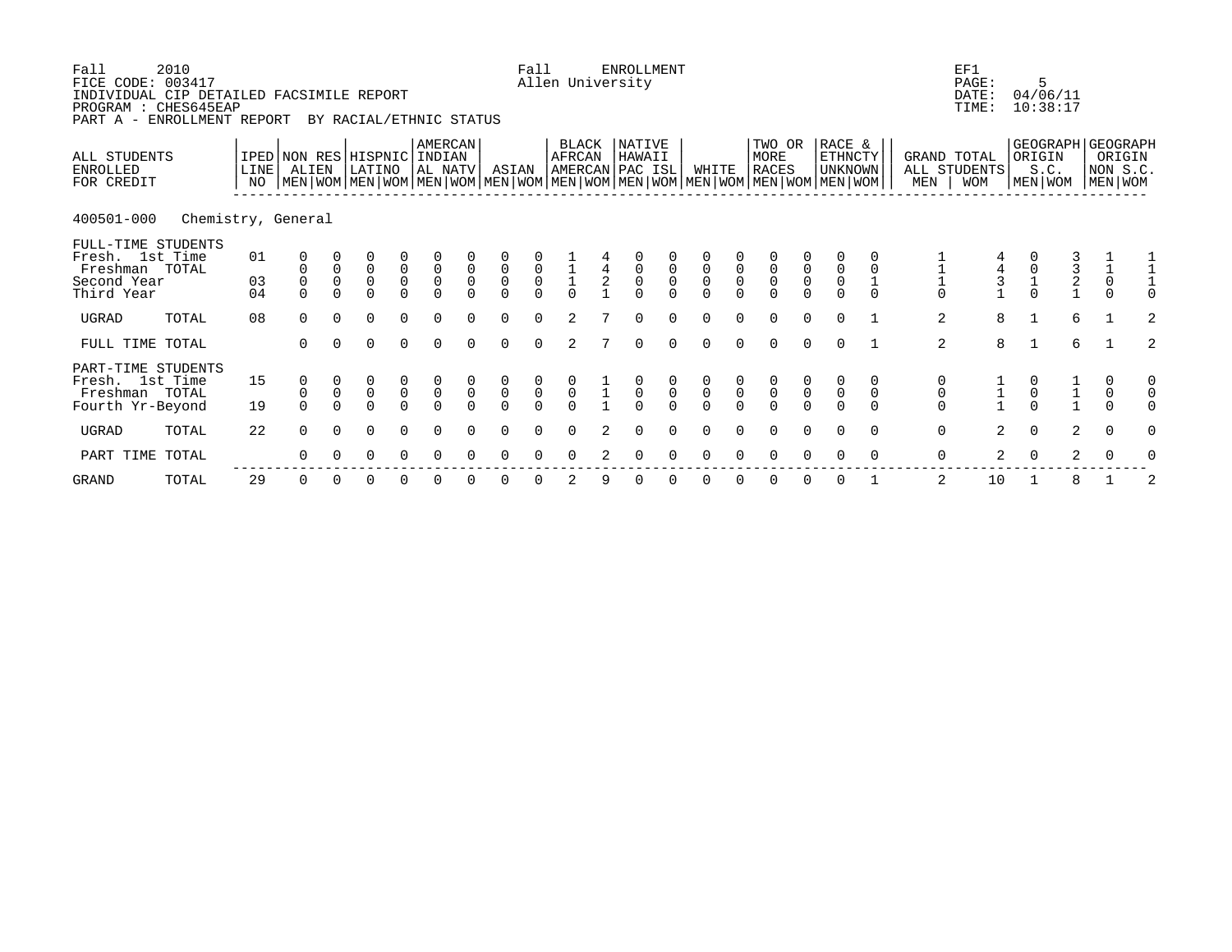| Fall<br>FICE CODE: 003417<br>INDIVIDUAL CIP DETAILED FACSIMILE REPORT<br>PROGRAM : CHES645EAP<br>PART A - | 2010<br>ENROLLMENT REPORT |                   |                                                                                                                                              |                                    | BY RACIAL/ETHNIC STATUS                          |                                 |                                                  |                                                |                                           | Fall                                | Allen University                             |               | <b>ENROLLMENT</b>                         |                                      |                |             |                                 |                     |                                            |                               |                                      | EF1<br>PAGE:<br>DATE:<br>TIME: |                                      | 5<br>04/06/11<br>10:38:17                  |                                              |  |
|-----------------------------------------------------------------------------------------------------------|---------------------------|-------------------|----------------------------------------------------------------------------------------------------------------------------------------------|------------------------------------|--------------------------------------------------|---------------------------------|--------------------------------------------------|------------------------------------------------|-------------------------------------------|-------------------------------------|----------------------------------------------|---------------|-------------------------------------------|--------------------------------------|----------------|-------------|---------------------------------|---------------------|--------------------------------------------|-------------------------------|--------------------------------------|--------------------------------|--------------------------------------|--------------------------------------------|----------------------------------------------|--|
| ALL STUDENTS<br><b>ENROLLED</b><br>FOR CREDIT                                                             |                           | <b>LINE</b><br>NO | IPED NON RES HISPNIC<br>ALIEN<br>  MEN   WOM   MEN   WOM   MEN   WOM   MEN   WOM   MEN   WOM   MEN   WOM   MEN   WOM   MEN   WOM   MEN   WOM |                                    | LATINO                                           |                                 | <b>AMERCAN</b><br>  INDIAN<br>AL NATV            |                                                | ASIAN                                     |                                     | BLACK<br>AFRCAN                              |               | NATIVE<br>HAWAII<br>AMERCAN PAC ISL       |                                      | WHITE          |             | TWO OR<br>MORE<br><b>RACES</b>  |                     | RACE &<br><b>ETHNCTY</b><br><b>UNKNOWN</b> |                               | GRAND TOTAL<br>MEN                   | ALL STUDENTS<br><b>WOM</b>     | ORIGIN                               | GEOGRAPH   GEOGRAPH<br>S.C.<br>MEN WOM     | ORIGIN<br>NON S.C.<br>MEN WOM                |  |
| 400501-000                                                                                                | Chemistry, General        |                   |                                                                                                                                              |                                    |                                                  |                                 |                                                  |                                                |                                           |                                     |                                              |               |                                           |                                      |                |             |                                 |                     |                                            |                               |                                      |                                |                                      |                                            |                                              |  |
| FULL-TIME STUDENTS<br>Fresh. 1st Time<br>Freshman TOTAL<br>Second Year<br>Third Year                      |                           | 01<br>03<br>04    | 0<br>$\mathsf 0$<br>$\Omega$                                                                                                                 | $\mathsf{O}\xspace$<br>$\mathsf 0$ | $\begin{matrix} 0 \\ 0 \end{matrix}$<br>$\Omega$ | $\overline{0}$<br>0<br>$\Omega$ | $\overline{0}$<br>0<br>$\Omega$                  | $\mathsf{O}\xspace$<br>$\mathsf 0$<br>$\Omega$ | $\begin{matrix} 0 \\ 0 \\ 0 \end{matrix}$ | $\begin{matrix}0\\0\\0\end{matrix}$ | $\begin{array}{c}\n1 \\ 1 \\ 0\n\end{array}$ | $\frac{4}{2}$ | $\begin{matrix} 0 \\ 0 \\ 0 \end{matrix}$ | $\overline{0}$                       | $\overline{0}$ | $\mathsf 0$ | $\overline{0}$<br>0<br>$\Omega$ | $\overline{0}$<br>0 | $\overline{0}$                             |                               | $\Omega$                             | $\frac{4}{3}$                  |                                      | $\begin{array}{c} 3 \\ 2 \\ 1 \end{array}$ | $\begin{matrix}1\\0\end{matrix}$<br>$\Omega$ |  |
| <b>UGRAD</b>                                                                                              | TOTAL                     | 08                | $\Omega$                                                                                                                                     | $\Omega$                           | $\Omega$                                         | $\Omega$                        | $\Omega$                                         | $\Omega$                                       | $\Omega$                                  | $\Omega$                            | 2                                            |               | $\Omega$                                  | $\cap$                               | $\cap$         | $\cap$      | $\Omega$                        | $\Omega$            | $\cap$                                     |                               | 2                                    | 8                              | $\mathbf{1}$                         | 6                                          |                                              |  |
| FULL TIME TOTAL                                                                                           |                           |                   | $\Omega$                                                                                                                                     | $\Omega$                           | $\Omega$                                         | $\Omega$                        | $\Omega$                                         | $\Omega$                                       | $\Omega$                                  | $\Omega$                            | 2                                            |               | $\Omega$                                  | $\Omega$                             | $\Omega$       | $\Omega$    | $\Omega$                        | $\Omega$            | $\Omega$                                   |                               | 2                                    | 8                              | $\mathbf{1}$                         | 6                                          |                                              |  |
| PART-TIME STUDENTS<br>Fresh. 1st Time<br>Freshman TOTAL<br>Fourth Yr-Beyond                               |                           | 15<br>19          | 0<br>$\mbox{O}$<br>$\cap$                                                                                                                    | $\mathsf 0$<br>$\Omega$            | $\begin{matrix}0\\0\end{matrix}$                 | $\overline{0}$                  | $\begin{smallmatrix}0\\0\\0\\0\end{smallmatrix}$ | $\begin{matrix}0\\0\end{matrix}$               | $\overline{0}$                            | $\overline{0}$                      | $\alpha$                                     |               | $\frac{0}{0}$                             | $\begin{matrix} 0 \\ 0 \end{matrix}$ | $\overline{0}$ |             | $\overline{0}$                  | $\overline{0}$      | $\mathsf{O}\xspace$                        | 0<br>$\mathsf{O}$<br>$\Omega$ | 0<br>$\mathsf{O}\xspace$<br>$\Omega$ |                                | $\begin{matrix} 0 \\ 0 \end{matrix}$ | $\frac{1}{1}$                              | 0<br>$\pmb{0}$                               |  |
| <b>UGRAD</b>                                                                                              | TOTAL                     | 22                | $\Omega$                                                                                                                                     | $\Omega$                           | $\Omega$                                         | $\Omega$                        | $\Omega$                                         |                                                |                                           |                                     |                                              |               |                                           |                                      |                |             |                                 | $\Omega$            |                                            | $\Omega$                      | $\mathbf 0$                          | $\overline{2}$                 | $\Omega$                             | 2                                          | $\Omega$                                     |  |
| PART TIME TOTAL                                                                                           |                           |                   | ∩                                                                                                                                            |                                    | O                                                |                                 | ∩                                                |                                                |                                           |                                     |                                              |               |                                           |                                      |                |             |                                 |                     |                                            | $\Omega$                      | $\mathbf 0$                          | $\overline{2}$                 | $\Omega$                             | $\overline{a}$                             |                                              |  |
|                                                                                                           |                           |                   |                                                                                                                                              |                                    |                                                  |                                 |                                                  |                                                |                                           |                                     |                                              |               |                                           |                                      |                |             |                                 |                     |                                            |                               |                                      |                                |                                      |                                            |                                              |  |

GRAND TOTAL 29 0 0 0 0 0 0 0 0 2 9 0 0 0 0 0 0 0 1 2 10 1 8 1 2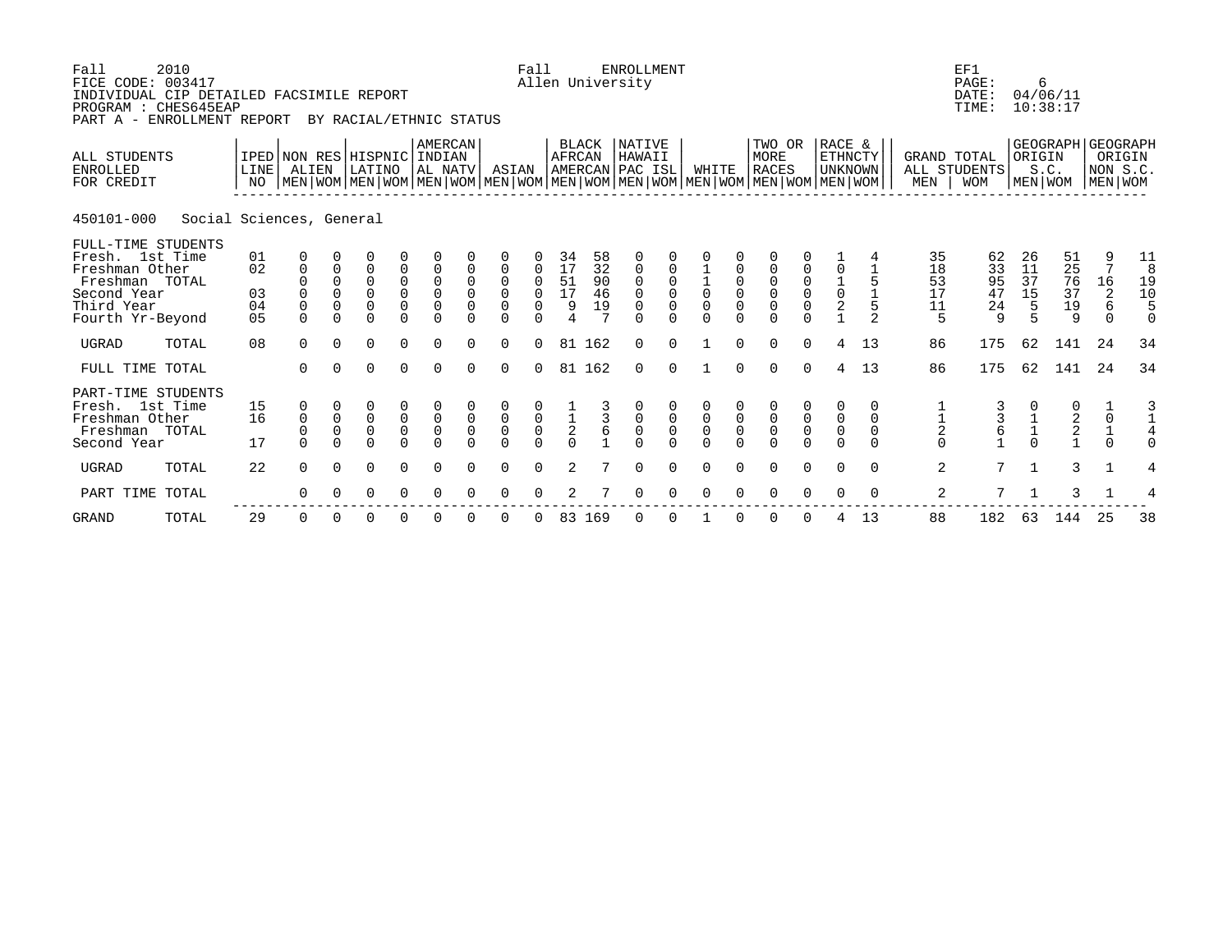| Fall<br>FICE CODE: 003417<br>INDIVIDUAL CIP DETAILED FACSIMILE REPORT<br>PROGRAM : CHES645EAP<br>PART A - ENROLLMENT REPORT | 2010                     |                                        |                                                  |                                                    | BY RACIAL/ETHNIC STATUS                                            |                                                       |                                                       |                                           |                                                                | Fall                                           |                                             |                            | <b>ENROLLMENT</b><br>Allen University                           |                    |                                                                   |                                               |                                                                                                                                        |                                           |                                                |                                             |                                 | EF1<br>PAGE:<br>DATE:<br>TIME:  |                                            | 6<br>04/06/11<br>10:38:17       |                                                  |                                         |
|-----------------------------------------------------------------------------------------------------------------------------|--------------------------|----------------------------------------|--------------------------------------------------|----------------------------------------------------|--------------------------------------------------------------------|-------------------------------------------------------|-------------------------------------------------------|-------------------------------------------|----------------------------------------------------------------|------------------------------------------------|---------------------------------------------|----------------------------|-----------------------------------------------------------------|--------------------|-------------------------------------------------------------------|-----------------------------------------------|----------------------------------------------------------------------------------------------------------------------------------------|-------------------------------------------|------------------------------------------------|---------------------------------------------|---------------------------------|---------------------------------|--------------------------------------------|---------------------------------|--------------------------------------------------|-----------------------------------------|
| ALL STUDENTS<br><b>ENROLLED</b><br>FOR CREDIT                                                                               |                          | NO                                     | IPED NON RES HISPNIC INDIAN<br>LINE ALIEN        |                                                    | LATINO                                                             |                                                       | <b>AMERCAN</b><br>AL NATV                             |                                           | ASIAN                                                          |                                                | <b>AFRCAN</b>                               | BLACK                      | NATIVE<br>HAWAII<br>AMERCAN PAC ISL                             |                    | WHITE                                                             |                                               | TWO OR<br>MORE<br>RACES<br>  MEN   WOM   MEN   WOM   MEN   WOM   MEN   WOM   MEN   WOM   MEN   WOM   MEN   WOM   MEN   WOM   MEN   WOM |                                           | RACE &<br><b>ETHNCTY</b><br><b>UNKNOWN</b>     |                                             | GRAND TOTAL<br>MEN              | ALL STUDENTS<br><b>WOM</b>      | ORIGIN                                     | S.C.                            | GEOGRAPH GEOGRAPH<br>NON S.C.<br>MEN WOM MEN WOM | ORIGIN                                  |
| 450101-000                                                                                                                  | Social Sciences, General |                                        |                                                  |                                                    |                                                                    |                                                       |                                                       |                                           |                                                                |                                                |                                             |                            |                                                                 |                    |                                                                   |                                               |                                                                                                                                        |                                           |                                                |                                             |                                 |                                 |                                            |                                 |                                                  |                                         |
| FULL-TIME STUDENTS<br>Fresh. 1st Time<br>Freshman Other<br>Freshman TOTAL<br>Second Year<br>Third Year<br>Fourth Yr-Beyond  |                          | 01<br>02<br>03<br>04<br>0 <sub>5</sub> | 0<br>0<br>$\mathbf 0$<br>$\mathsf 0$<br>$\Omega$ | $\mathbf 0$<br>$\Omega$<br>$\mathbf 0$<br>$\Omega$ | $\overline{0}$<br>$\overline{0}$<br>$\Omega$<br>$\Omega$<br>$\cap$ | $\begin{matrix} 0 \\ 0 \\ 0 \end{matrix}$<br>$\Omega$ | $\begin{matrix} 0 \\ 0 \\ 0 \end{matrix}$<br>$\Omega$ | $\mathbf 0$<br>$\mathbf 0$<br>$\mathbf 0$ | $\mathbf 0$<br>$\overline{0}$<br>$\mathsf{O}\xspace$<br>$\cap$ | $\mathbf 0$<br>$\mathbf 0$<br>0<br>$\cap$      | 34<br>17<br>51<br>17<br>9<br>$\overline{4}$ | 58<br>32<br>90<br>46<br>19 | 0<br>$\mathsf 0$<br>0<br>$\mathsf 0$<br>$\mathbf 0$<br>$\Omega$ |                    | $\begin{array}{c} 1 \\ 1 \\ 0 \end{array}$<br>$\mathsf{O}\xspace$ | $\mathbf 0$<br>$\mathbf 0$                    | $\mathbf 0$<br>$\begin{matrix} 0 \\ 0 \\ 0 \end{matrix}$<br>$\Omega$                                                                   | $\begin{matrix} 0 \\ 0 \\ 0 \end{matrix}$ | $\mathbf 0$<br>$\frac{1}{0}$<br>$\overline{2}$ | $\overline{a}$                              | 35<br>18<br>53<br>17<br>11<br>5 | 62<br>33<br>95<br>47<br>24<br>9 | 26<br>11<br>37<br>15<br>5<br>5             | 51<br>25<br>76<br>37<br>19<br>9 | 9<br>$7\phantom{.0}$<br>16<br>2<br>6<br>$\Omega$ | 11<br>8<br>19<br>10<br>5<br>$\mathbf 0$ |
| <b>UGRAD</b>                                                                                                                | TOTAL                    | 08                                     | $\Omega$                                         | $\Omega$                                           | $\Omega$                                                           | $\Omega$                                              | $\Omega$                                              | $\cap$                                    | $\Omega$                                                       | $\Omega$                                       | 81                                          | 162                        | $\Omega$                                                        | $\cap$             |                                                                   | $\Omega$                                      | $\Omega$                                                                                                                               | $\Omega$                                  | 4                                              | 13                                          | 86                              | 175                             | 62                                         | 141                             | 24                                               | 34                                      |
| FULL TIME TOTAL                                                                                                             |                          |                                        | $\Omega$                                         | $\Omega$                                           | $\Omega$                                                           | $\Omega$                                              | $\Omega$                                              | $\Omega$                                  | $\Omega$                                                       | $\Omega$                                       |                                             | 81 162                     | $\Omega$                                                        | $\Omega$           |                                                                   | $\Omega$                                      | $\Omega$                                                                                                                               | $\Omega$                                  | $\overline{4}$                                 | 13                                          | 86                              | 175                             | 62                                         | 141                             | 24                                               | 34                                      |
| PART-TIME STUDENTS<br>Fresh. 1st Time<br>Freshman Other<br>Freshman TOTAL<br>Second Year                                    |                          | 15<br>16<br>17                         | 0<br>$\mathsf 0$<br>$\overline{0}$<br>$\Omega$   | $\mathsf 0$<br>$\mathsf 0$                         | $\begin{matrix} 0 \\ 0 \\ 0 \end{matrix}$<br>$\Omega$              | $\begin{matrix} 0 \\ 0 \\ 0 \end{matrix}$<br>$\Omega$ | $\begin{matrix}0\\0\\0\end{matrix}$<br>$\Omega$       | $\overline{0}$                            | $\begin{matrix} 0 \\ 0 \\ 0 \\ 0 \end{matrix}$                 | $\begin{matrix} 0 \\ 0 \\ 0 \\ 0 \end{matrix}$ | $\frac{1}{2}$<br>0                          | $\frac{3}{6}$              | 000                                                             | $_{\rm 0}^{\rm 0}$ | $\begin{smallmatrix}0\\0\end{smallmatrix}$                        | $\begin{smallmatrix}0\\0\\0\end{smallmatrix}$ | $\begin{matrix} 0 \\ 0 \\ 0 \\ 0 \end{matrix}$                                                                                         | $\overline{0}$                            | $\begin{smallmatrix}0\\0\end{smallmatrix}$     | 0<br>$\mathbf 0$<br>$\mathbf 0$<br>$\Omega$ | $\frac{1}{2}$<br>0              | $\frac{3}{6}$                   | $\begin{array}{c} 1 \\ 1 \\ 0 \end{array}$ | $\frac{0}{2}$<br>$\frac{2}{1}$  | $\frac{1}{0}$<br>$\frac{1}{0}$                   | $\frac{3}{4}$<br>$\Omega$               |
| <b>UGRAD</b>                                                                                                                | TOTAL                    | 22                                     | $\Omega$                                         | $\Omega$                                           | $\Omega$                                                           | $\Omega$                                              | $\Omega$                                              | $\Omega$                                  | $\Omega$                                                       | $\Omega$                                       | $\overline{a}$                              |                            | $\Omega$                                                        | $\Omega$           | $\Omega$                                                          | 0                                             | $\Omega$                                                                                                                               | $\Omega$                                  | $\Omega$                                       | $\Omega$                                    | 2                               | $7\phantom{.0}$                 | $\mathbf{1}$                               | 3                               | $\mathbf{1}$                                     | 4                                       |
| PART TIME                                                                                                                   | TOTAL                    |                                        | 0                                                |                                                    | 0                                                                  | 0                                                     |                                                       |                                           | $\Omega$                                                       |                                                |                                             |                            |                                                                 |                    |                                                                   |                                               | ∩                                                                                                                                      |                                           | ∩                                              | $\Omega$                                    | 2                               | 7                               |                                            | 3                               |                                                  | 4                                       |
| <b>GRAND</b>                                                                                                                | TOTAL                    | 29                                     | 0                                                | $\Omega$                                           | 0                                                                  | 0                                                     | 0                                                     |                                           | $\Omega$                                                       |                                                | 83                                          | 169                        | 0                                                               | $\Omega$           |                                                                   |                                               | $\mathbf 0$                                                                                                                            | $\Omega$                                  | 4                                              | 13                                          | 88                              | 182                             | 63                                         | 144                             | 25                                               | 38                                      |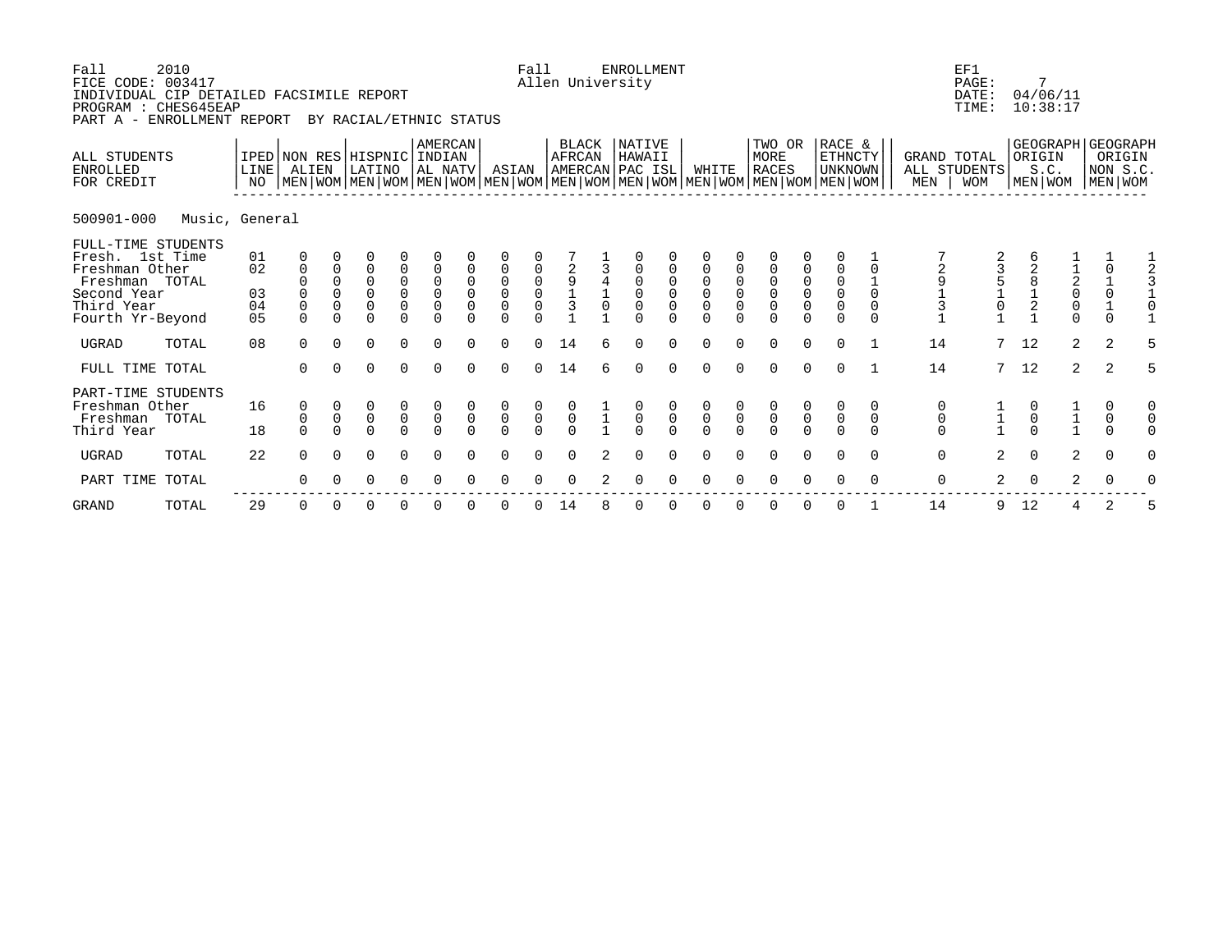| Fall<br>FICE CODE: 003417<br>INDIVIDUAL CIP DETAILED FACSIMILE REPORT<br>PROGRAM : CHES645EAP<br>PART A - ENROLLMENT REPORT | 2010           |                                        |                                             |                                                                   | BY RACIAL/ETHNIC STATUS                                    |                                                  |                                                       |                                              |                                                       | Fall                       |                                                               |   | <b>ENROLLMENT</b><br>Allen University |                         |                                              |                                            |                                                                                                                                               |                                                       |                                                       |                              |                                                               | EF1<br>PAGE:<br>DATE:<br>TIME:            |    | 7<br>04/06/11<br>10:38:17                          |                                                             |                               |   |
|-----------------------------------------------------------------------------------------------------------------------------|----------------|----------------------------------------|---------------------------------------------|-------------------------------------------------------------------|------------------------------------------------------------|--------------------------------------------------|-------------------------------------------------------|----------------------------------------------|-------------------------------------------------------|----------------------------|---------------------------------------------------------------|---|---------------------------------------|-------------------------|----------------------------------------------|--------------------------------------------|-----------------------------------------------------------------------------------------------------------------------------------------------|-------------------------------------------------------|-------------------------------------------------------|------------------------------|---------------------------------------------------------------|-------------------------------------------|----|----------------------------------------------------|-------------------------------------------------------------|-------------------------------|---|
| ALL STUDENTS<br><b>ENROLLED</b><br>FOR CREDIT                                                                               |                | IPED NON RES HISPNIC<br>LINE<br>NO     | ALIEN                                       |                                                                   | LATINO                                                     |                                                  | AMERCAN<br>  INDIAN<br>AL NATV                        |                                              | ASIAN                                                 |                            | BLACK<br>AFRCAN                                               |   | NATIVE<br>HAWAII<br>AMERCAN PAC ISL   |                         | WHITE                                        |                                            | TWO OR<br>MORE<br><b>RACES</b><br>  MEN   WOM   MEN   WOM   MEN   WOM   MEN   WOM   MEN   WOM   MEN   WOM   MEN   WOM   MEN   WOM   MEN   WOM |                                                       | RACE &<br>ETHNCTY<br><b>UNKNOWN</b>                   |                              | MEN                                                           | GRAND TOTAL<br>ALL STUDENTS<br><b>WOM</b> |    | GEOGRAPH GEOGRAPH<br>ORIGIN<br>S.C.<br>  MEN   WOM |                                                             | ORIGIN<br>NON S.C.<br>MEN WOM |   |
| 500901-000                                                                                                                  | Music, General |                                        |                                             |                                                                   |                                                            |                                                  |                                                       |                                              |                                                       |                            |                                                               |   |                                       |                         |                                              |                                            |                                                                                                                                               |                                                       |                                                       |                              |                                                               |                                           |    |                                                    |                                                             |                               |   |
| FULL-TIME STUDENTS<br>Fresh. 1st Time<br>Freshman Other<br>Freshman TOTAL<br>Second Year<br>Third Year<br>Fourth Yr-Beyond  |                | 01<br>02<br>03<br>04<br>0 <sub>5</sub> | $\mathbf 0$<br>0<br>$\mathsf 0$<br>$\Omega$ | $\mathbf 0$<br>$\Omega$<br>$\mathbf 0$<br>$\mathbf 0$<br>$\Omega$ | 0<br>$\Omega$<br>$\overline{0}$<br>$\mathbf 0$<br>$\Omega$ | 0<br>$\begin{matrix} 0 \\ 0 \\ 0 \end{matrix}$   | $\begin{matrix} 0 \\ 0 \\ 0 \end{matrix}$<br>$\Omega$ | $\mathbf 0$<br>$\overline{0}$<br>$\mathbf 0$ | $\begin{matrix} 0 \\ 0 \\ 0 \end{matrix}$<br>$\Omega$ | 0000                       | $\begin{array}{c}\n2 \\ 9 \\ 1\n\end{array}$<br>$\frac{1}{3}$ |   | $\mathbf 0$<br>$\mathbf 0$            | $\overline{0}$<br>0     | $\mathbf 0$<br>$\overline{0}$<br>$\mathbf 0$ | 0<br>$\mathsf{O}\xspace$<br>$\overline{0}$ | $\begin{matrix} 0 \\ 0 \\ 0 \end{matrix}$<br>$\Omega$                                                                                         | $\begin{matrix} 0 \\ 0 \\ 0 \end{matrix}$<br>$\Omega$ | $\begin{matrix} 0 \\ 0 \\ 0 \end{matrix}$<br>$\Omega$ | $\mathbf 0$<br>0<br>$\Omega$ | $\begin{array}{c}\n2 \\ 9 \\ 1\n\end{array}$<br>$\frac{1}{3}$ | 3<br>5<br>1<br>0                          |    | $\frac{1}{2}$                                      | $\begin{array}{c} 1 \\ 2 \\ 0 \\ 0 \end{array}$<br>$\Omega$ | $\frac{1}{0}$<br>$\Omega$     |   |
| UGRAD                                                                                                                       | TOTAL          | 08                                     | $\Omega$                                    | $\Omega$                                                          | 0                                                          | $\Omega$                                         | $\Omega$                                              | $\Omega$                                     | $\Omega$                                              | $\Omega$                   | 14                                                            | 6 | $\Omega$                              | $\Omega$                | $\Omega$                                     | $\Omega$                                   | $\Omega$                                                                                                                                      | $\Omega$                                              | $\Omega$                                              |                              | 14                                                            | 7                                         | 12 |                                                    | $\overline{2}$                                              | 2                             |   |
| FULL TIME TOTAL                                                                                                             |                |                                        | $\Omega$                                    | $\Omega$                                                          | $\Omega$                                                   | $\Omega$                                         | $\Omega$                                              | $\Omega$                                     | $\Omega$                                              | $\cap$                     | 14                                                            |   | $\Omega$                              | $\Omega$                | $\cap$                                       | $\cap$                                     | $\Omega$                                                                                                                                      | $\Omega$                                              | $\Omega$                                              |                              | 14                                                            | $7\overline{ }$                           | 12 |                                                    | $\overline{2}$                                              | 2                             | 5 |
| PART-TIME STUDENTS<br>Freshman Other<br>Freshman<br>Third Year                                                              | TOTAL          | 16<br>18                               | 0<br>0<br>$\Omega$                          | $\mathsf 0$<br>$\Omega$                                           | $\mathsf 0$<br>$\Omega$                                    | $\begin{matrix} 0 \\ 0 \end{matrix}$<br>$\Omega$ | $\begin{matrix} 0 \\ 0 \end{matrix}$<br>$\Omega$      | $\mathsf{O}\xspace$<br>$\Omega$              | $\frac{0}{0}$<br>$\Omega$                             | $\overline{0}$<br>$\Omega$ | $\overline{0}$                                                |   | $\begin{matrix}0\\0\end{matrix}$      | $\mathsf 0$<br>$\Omega$ | $\begin{matrix} 0 \\ 0 \\ 0 \end{matrix}$    | $\mathsf 0$                                | $\begin{matrix} 0 \\ 0 \\ 0 \end{matrix}$                                                                                                     | $\begin{matrix} 0 \\ 0 \end{matrix}$<br>$\Omega$      | $\mathsf{O}\xspace$<br>$\Omega$                       | 0<br>$\mathbf 0$<br>$\Omega$ | 0<br>$\mathsf{O}\xspace$<br>$\Omega$                          |                                           |    |                                                    |                                                             | 0<br>$\mathsf{O}$<br>$\Omega$ |   |
| UGRAD                                                                                                                       | TOTAL          | 22                                     | 0                                           | 0                                                                 | 0                                                          | 0                                                | 0                                                     | 0                                            | 0                                                     | 0                          | 0                                                             | 2 | 0                                     | 0                       | 0                                            | 0                                          | 0                                                                                                                                             | 0                                                     | 0                                                     | 0                            | 0                                                             | 2                                         |    | $\mathbf 0$                                        | 2                                                           | $\mathbf 0$                   |   |

 PART TIME TOTAL 0 0 0 0 0 0 0 0 0 2 0 0 0 0 0 0 0 0 0 2 0 2 0 0 ------------------------------------------------------------------------------------------------------------- GRAND TOTAL 29 0 0 0 0 0 0 0 0 14 8 0 0 0 0 0 0 0 1 14 9 12 4 2 5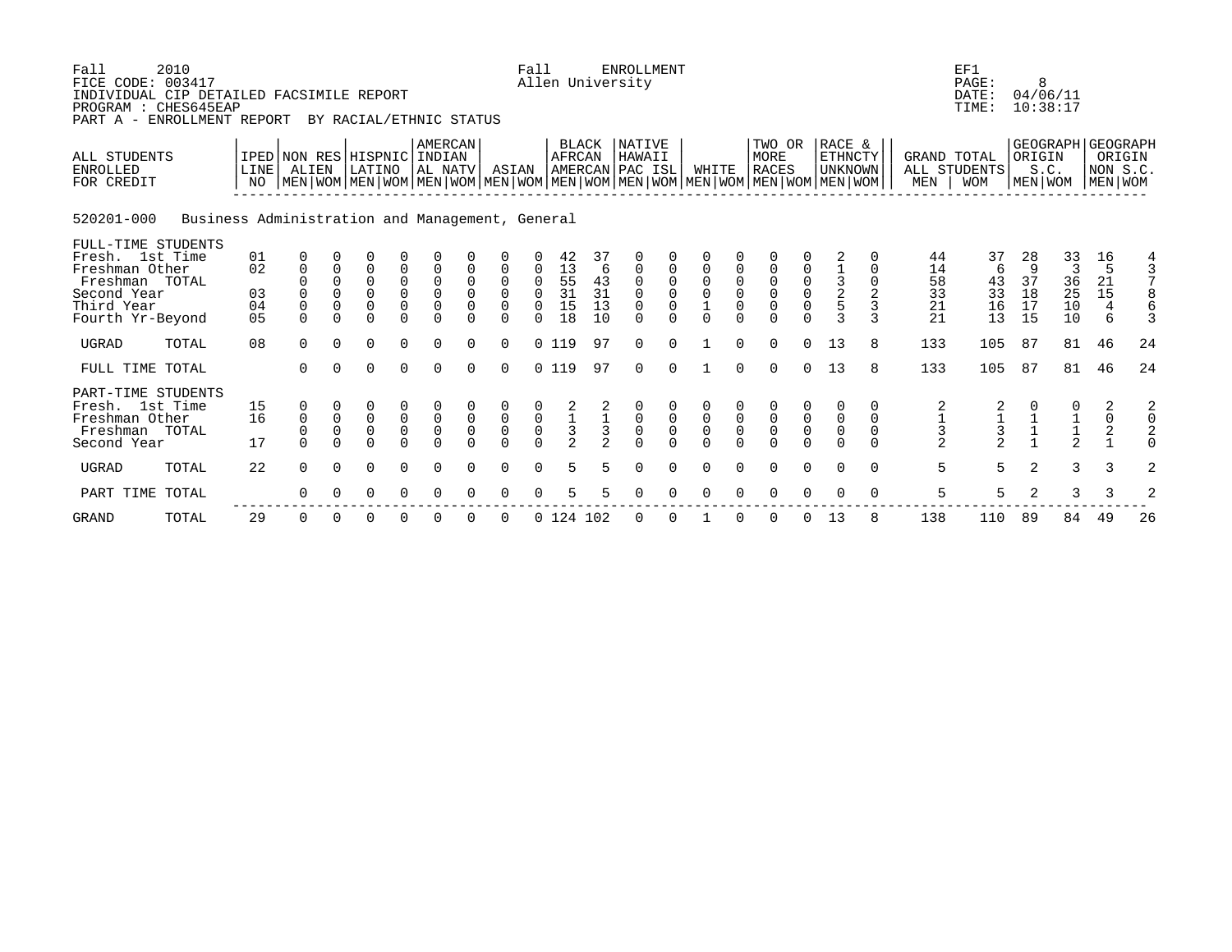| Fall<br>FICE CODE: 003417<br>INDIVIDUAL CIP DETAILED FACSIMILE REPORT<br>PROGRAM : CHES645EAP<br>PART A - ENROLLMENT REPORT | 2010                                            |                                        |                                                  |                                          | BY RACIAL/ETHNIC STATUS                                            |                                                                               |                                                          |                               |                                                                  | Fall                                           |                                                 |                                                 | <b>ENROLLMENT</b><br>Allen University            |                                           |                                            |                         |                                                                                                                                               |                                                |                                     |                                   |                                                   | EF1<br>PAGE:<br>DATE:<br>TIME:                    |                                 | 8<br>04/06/11<br>10:38:17                      |                                                   |                    |
|-----------------------------------------------------------------------------------------------------------------------------|-------------------------------------------------|----------------------------------------|--------------------------------------------------|------------------------------------------|--------------------------------------------------------------------|-------------------------------------------------------------------------------|----------------------------------------------------------|-------------------------------|------------------------------------------------------------------|------------------------------------------------|-------------------------------------------------|-------------------------------------------------|--------------------------------------------------|-------------------------------------------|--------------------------------------------|-------------------------|-----------------------------------------------------------------------------------------------------------------------------------------------|------------------------------------------------|-------------------------------------|-----------------------------------|---------------------------------------------------|---------------------------------------------------|---------------------------------|------------------------------------------------|---------------------------------------------------|--------------------|
| ALL STUDENTS<br><b>ENROLLED</b><br>FOR CREDIT                                                                               |                                                 | NO                                     | IPED NON RES HISPNIC INDIAN<br>LINE ALIEN        |                                          | LATINO                                                             |                                                                               | <b>AMERCAN</b><br>AL NATV                                |                               | ASIAN                                                            |                                                | <b>AFRCAN</b>                                   | BLACK                                           | NATIVE<br>HAWAII<br>AMERCAN PAC ISL              |                                           | WHITE                                      |                         | TWO OR<br>MORE<br><b>RACES</b><br>  MEN   WOM   MEN   WOM   MEN   WOM   MEN   WOM   MEN   WOM   MEN   WOM   MEN   WOM   MEN   WOM   MEN   WOM |                                                | RACE &<br>ETHNCTY<br><b>UNKNOWN</b> |                                   | GRAND TOTAL<br>MEN                                | ALL STUDENTS<br><b>WOM</b>                        | ORIGIN                          | GEOGRAPH GEOGRAPH<br>S.C.<br>MEN WOM   MEN WOM |                                                   | ORIGIN<br>NON S.C. |
| 520201-000                                                                                                                  | Business Administration and Management, General |                                        |                                                  |                                          |                                                                    |                                                                               |                                                          |                               |                                                                  |                                                |                                                 |                                                 |                                                  |                                           |                                            |                         |                                                                                                                                               |                                                |                                     |                                   |                                                   |                                                   |                                 |                                                |                                                   |                    |
| FULL-TIME STUDENTS<br>Fresh. 1st Time<br>Freshman Other<br>Freshman TOTAL<br>Second Year<br>Third Year<br>Fourth Yr-Beyond  |                                                 | 01<br>02<br>03<br>04<br>0 <sub>5</sub> | 0<br>0<br>$\mathbf 0$<br>$\mathsf 0$<br>$\Omega$ | 0<br>$\Omega$<br>$\mathbf 0$<br>$\Omega$ | $\overline{0}$<br>$\overline{0}$<br>$\Omega$<br>$\Omega$<br>$\cap$ | $\begin{smallmatrix}0\\0\end{smallmatrix}$<br>$\mathsf{O}\xspace$<br>$\Omega$ | $\mathsf 0$<br>$\overline{0}$<br>$\mathsf 0$<br>$\Omega$ | $\mathbf 0$<br>$\overline{0}$ | $\mathbf 0$<br>$\overline{0}$<br>$\mathsf{O}\xspace$<br>$\Omega$ | 0<br>$\mathbf 0$<br>$\Omega$<br>$\cap$         | 42<br>13<br>55<br>31<br>15<br>18                | 37<br>6<br>43<br>31<br>13<br>10                 | 0<br>0<br>$\mathbf 0$<br>$\mathbf 0$<br>$\Omega$ |                                           | $\begin{smallmatrix}0\\0\end{smallmatrix}$ | $\mathbf 0$<br>$\Omega$ | 0<br>$\begin{matrix} 0 \\ 0 \\ 0 \end{matrix}$<br>$\Omega$                                                                                    | 0<br>$\begin{matrix} 0 \\ 0 \\ 0 \end{matrix}$ | $\frac{1}{2}$<br>$\mathbf{z}$       | $\mathbf{3}$                      | 44<br>14<br>58<br>33<br>21<br>21                  | 37<br>6<br>43<br>33<br>16<br>13                   | 28<br>9<br>37<br>18<br>17<br>15 | 33<br>3<br>36<br>25<br>10<br>10                | 16<br>5<br>21<br>$15$<br>$\overline{4}$<br>6      | $\frac{4}{3}$      |
| <b>UGRAD</b>                                                                                                                | TOTAL                                           | 08                                     | $\Omega$                                         | $\Omega$                                 | $\Omega$                                                           | $\Omega$                                                                      | $\Omega$                                                 | $\cap$                        | $\Omega$                                                         |                                                | 0, 119                                          | 97                                              | $\Omega$                                         | $\Omega$                                  |                                            | $\Omega$                | $\Omega$                                                                                                                                      | $\Omega$                                       | 13                                  | 8                                 | 133                                               | 105                                               | 87                              | 81                                             | 46                                                | 24                 |
| FULL TIME TOTAL                                                                                                             |                                                 |                                        | $\Omega$                                         | $\Omega$                                 | $\Omega$                                                           | $\Omega$                                                                      | $\Omega$                                                 | $\cap$                        | $\Omega$                                                         |                                                | 0119                                            | 97                                              | $\Omega$                                         | $\Omega$                                  |                                            | $\Omega$                | $\Omega$                                                                                                                                      | $\Omega$                                       | 13                                  | 8                                 | 133                                               | 105                                               | 87                              | 81                                             | 46                                                | 24                 |
| PART-TIME STUDENTS<br>Fresh. 1st Time<br>Freshman Other<br>Freshman TOTAL<br>Second Year                                    |                                                 | 15<br>16<br>17                         | 0<br>$\mathsf 0$<br>$\mathbf 0$<br>$\Omega$      | $\mathsf 0$<br>$\mathsf 0$               | $\begin{matrix} 0 \\ 0 \end{matrix}$<br>$\overline{0}$<br>$\cap$   | $\begin{matrix} 0 \\ 0 \\ 0 \end{matrix}$<br>$\Omega$                         | $\begin{matrix}0\\0\\0\end{matrix}$<br>$\Omega$          | $\overline{0}$                | $\begin{matrix} 0 \\ 0 \\ 0 \\ 0 \end{matrix}$                   | $\begin{matrix} 0 \\ 0 \\ 0 \\ 0 \end{matrix}$ | $\begin{array}{c} 2 \\ 1 \\ 3 \\ 2 \end{array}$ | $\begin{array}{c} 2 \\ 1 \\ 3 \\ 2 \end{array}$ | 000                                              | $\begin{matrix} 0 \\ 0 \\ 0 \end{matrix}$ | $\begin{smallmatrix}0\\0\end{smallmatrix}$ | $\overline{0}$          | $\begin{matrix} 0 \\ 0 \\ 0 \\ 0 \end{matrix}$                                                                                                | $\overline{0}$                                 | 0<br>0<br>$\mathsf 0$               | 0<br>0<br>$\mathbf 0$<br>$\Omega$ | $\begin{array}{c}\n2 \\ 1 \\ 3 \\ 2\n\end{array}$ | $\begin{array}{c}\n2 \\ 1 \\ 3 \\ 2\n\end{array}$ |                                 | 0<br>$\frac{1}{2}$                             | $\begin{array}{c}\n2 \\ 0 \\ 2 \\ 1\n\end{array}$ | $\frac{2}{0}$      |
| <b>UGRAD</b>                                                                                                                | TOTAL                                           | 22                                     | $\Omega$                                         | $\Omega$                                 | $\Omega$                                                           | $\Omega$                                                                      | $\Omega$                                                 | $\Omega$                      | $\Omega$                                                         | $\Omega$                                       | 5                                               |                                                 | $\Omega$                                         | $\Omega$                                  | $\Omega$                                   | $\Omega$                | $\Omega$                                                                                                                                      | $\Omega$                                       | $\Omega$                            | $\Omega$                          | 5                                                 | 5                                                 | $\overline{2}$                  | 3                                              | 3                                                 | $\overline{a}$     |
| PART TIME                                                                                                                   | TOTAL                                           |                                        | 0                                                |                                          | 0                                                                  | 0                                                                             |                                                          |                               | $\Omega$                                                         |                                                |                                                 |                                                 |                                                  |                                           |                                            |                         | $\Omega$                                                                                                                                      |                                                |                                     | $\Omega$                          | 5                                                 | 5                                                 | 2                               | 3                                              | 3                                                 | 2                  |
| <b>GRAND</b>                                                                                                                | TOTAL                                           | 29                                     | 0                                                | $\Omega$                                 | 0                                                                  | 0                                                                             | 0                                                        |                               | 0                                                                |                                                | 0 124 102                                       |                                                 | 0                                                | $\Omega$                                  |                                            |                         | 0                                                                                                                                             | 0                                              | 13                                  | 8                                 | 138                                               | 110                                               | 89                              | 84                                             | 49                                                | 26                 |